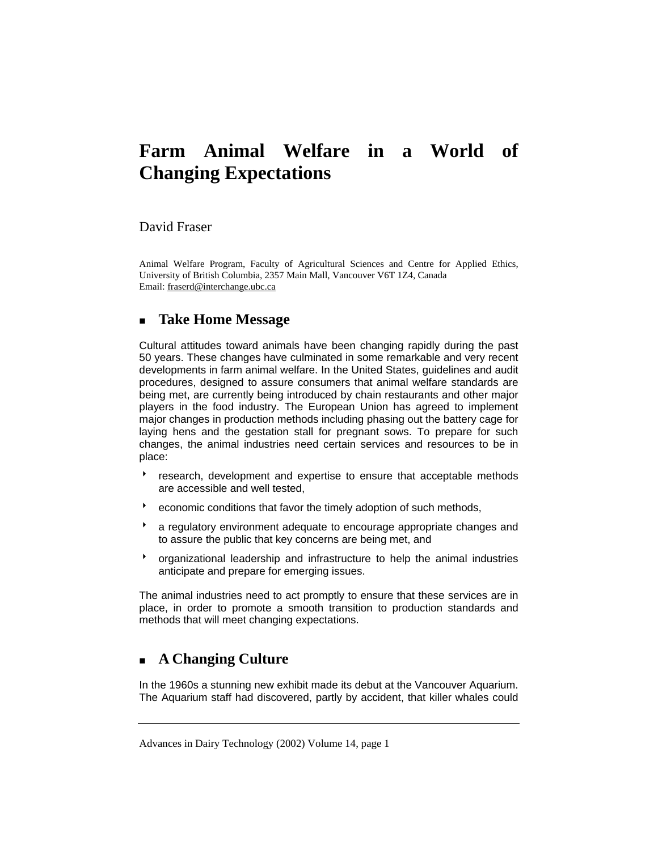# **Farm Animal Welfare in a World of Changing Expectations**

### David Fraser

Animal Welfare Program, Faculty of Agricultural Sciences and Centre for Applied Ethics, University of British Columbia, 2357 Main Mall, Vancouver V6T 1Z4, Canada Email: fraserd@interchange.ubc.ca

### **Take Home Message**

Cultural attitudes toward animals have been changing rapidly during the past 50 years. These changes have culminated in some remarkable and very recent developments in farm animal welfare. In the United States, guidelines and audit procedures, designed to assure consumers that animal welfare standards are being met, are currently being introduced by chain restaurants and other major players in the food industry. The European Union has agreed to implement major changes in production methods including phasing out the battery cage for laying hens and the gestation stall for pregnant sows. To prepare for such changes, the animal industries need certain services and resources to be in place:

- **b** research, development and expertise to ensure that acceptable methods are accessible and well tested,
- \* economic conditions that favor the timely adoption of such methods,
- a regulatory environment adequate to encourage appropriate changes and to assure the public that key concerns are being met, and
- **b** organizational leadership and infrastructure to help the animal industries anticipate and prepare for emerging issues.

The animal industries need to act promptly to ensure that these services are in place, in order to promote a smooth transition to production standards and methods that will meet changing expectations.

# **A Changing Culture**

In the 1960s a stunning new exhibit made its debut at the Vancouver Aquarium. The Aquarium staff had discovered, partly by accident, that killer whales could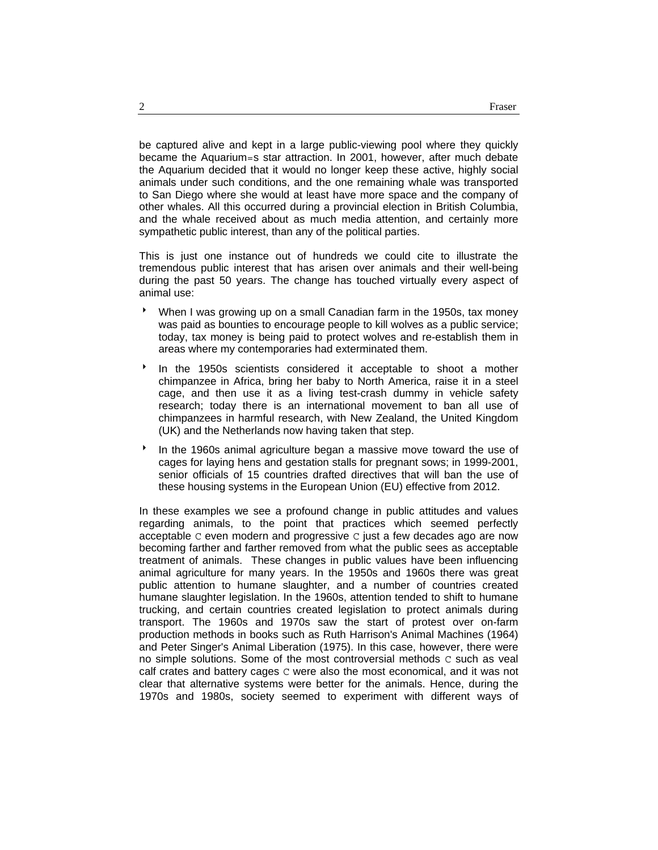be captured alive and kept in a large public-viewing pool where they quickly became the Aquarium=s star attraction. In 2001, however, after much debate the Aquarium decided that it would no longer keep these active, highly social animals under such conditions, and the one remaining whale was transported to San Diego where she would at least have more space and the company of other whales. All this occurred during a provincial election in British Columbia, and the whale received about as much media attention, and certainly more sympathetic public interest, than any of the political parties.

This is just one instance out of hundreds we could cite to illustrate the tremendous public interest that has arisen over animals and their well-being during the past 50 years. The change has touched virtually every aspect of animal use:

- When I was growing up on a small Canadian farm in the 1950s, tax money was paid as bounties to encourage people to kill wolves as a public service; today, tax money is being paid to protect wolves and re-establish them in areas where my contemporaries had exterminated them.
- $\bullet$  In the 1950s scientists considered it acceptable to shoot a mother chimpanzee in Africa, bring her baby to North America, raise it in a steel cage, and then use it as a living test-crash dummy in vehicle safety research; today there is an international movement to ban all use of chimpanzees in harmful research, with New Zealand, the United Kingdom (UK) and the Netherlands now having taken that step.
- In the 1960s animal agriculture began a massive move toward the use of cages for laying hens and gestation stalls for pregnant sows; in 1999-2001, senior officials of 15 countries drafted directives that will ban the use of these housing systems in the European Union (EU) effective from 2012.

In these examples we see a profound change in public attitudes and values regarding animals, to the point that practices which seemed perfectly acceptable C even modern and progressive C just a few decades ago are now becoming farther and farther removed from what the public sees as acceptable treatment of animals. These changes in public values have been influencing animal agriculture for many years. In the 1950s and 1960s there was great public attention to humane slaughter, and a number of countries created humane slaughter legislation. In the 1960s, attention tended to shift to humane trucking, and certain countries created legislation to protect animals during transport. The 1960s and 1970s saw the start of protest over on-farm production methods in books such as Ruth Harrison's Animal Machines (1964) and Peter Singer's Animal Liberation (1975). In this case, however, there were no simple solutions. Some of the most controversial methods  $C$  such as veal calf crates and battery cages C were also the most economical, and it was not clear that alternative systems were better for the animals. Hence, during the 1970s and 1980s, society seemed to experiment with different ways of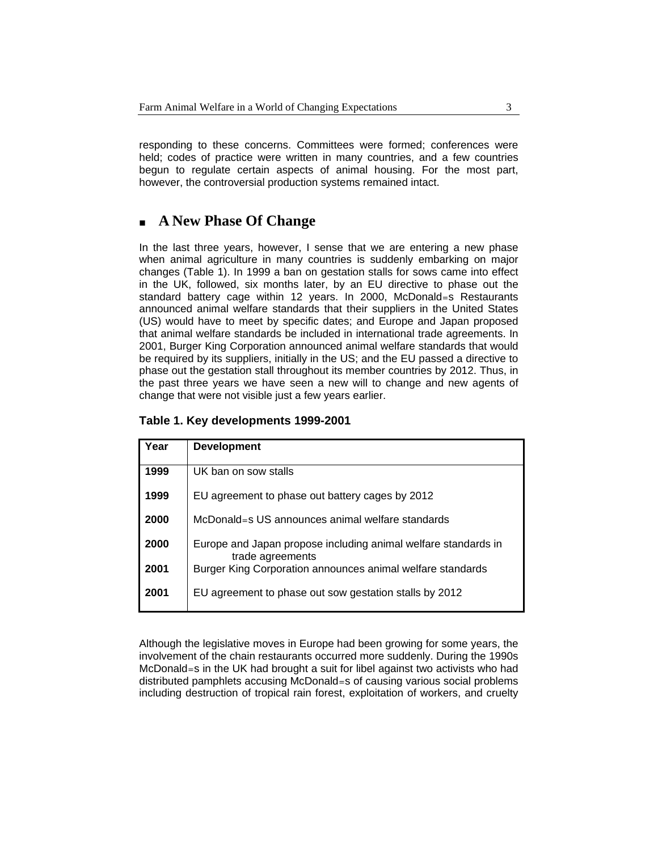responding to these concerns. Committees were formed; conferences were held; codes of practice were written in many countries, and a few countries begun to regulate certain aspects of animal housing. For the most part, however, the controversial production systems remained intact.

# **A New Phase Of Change**

In the last three years, however, I sense that we are entering a new phase when animal agriculture in many countries is suddenly embarking on major changes (Table 1). In 1999 a ban on gestation stalls for sows came into effect in the UK, followed, six months later, by an EU directive to phase out the standard battery cage within 12 years. In 2000, McDonald=s Restaurants announced animal welfare standards that their suppliers in the United States (US) would have to meet by specific dates; and Europe and Japan proposed that animal welfare standards be included in international trade agreements. In 2001, Burger King Corporation announced animal welfare standards that would be required by its suppliers, initially in the US; and the EU passed a directive to phase out the gestation stall throughout its member countries by 2012. Thus, in the past three years we have seen a new will to change and new agents of change that were not visible just a few years earlier.

### **Table 1. Key developments 1999-2001**

| Year | <b>Development</b>                                                                 |
|------|------------------------------------------------------------------------------------|
| 1999 | UK ban on sow stalls                                                               |
| 1999 | EU agreement to phase out battery cages by 2012                                    |
| 2000 | McDonald=s US announces animal welfare standards                                   |
| 2000 | Europe and Japan propose including animal welfare standards in<br>trade agreements |
| 2001 | Burger King Corporation announces animal welfare standards                         |
| 2001 | EU agreement to phase out sow gestation stalls by 2012                             |

Although the legislative moves in Europe had been growing for some years, the involvement of the chain restaurants occurred more suddenly. During the 1990s McDonald=s in the UK had brought a suit for libel against two activists who had distributed pamphlets accusing McDonald=s of causing various social problems including destruction of tropical rain forest, exploitation of workers, and cruelty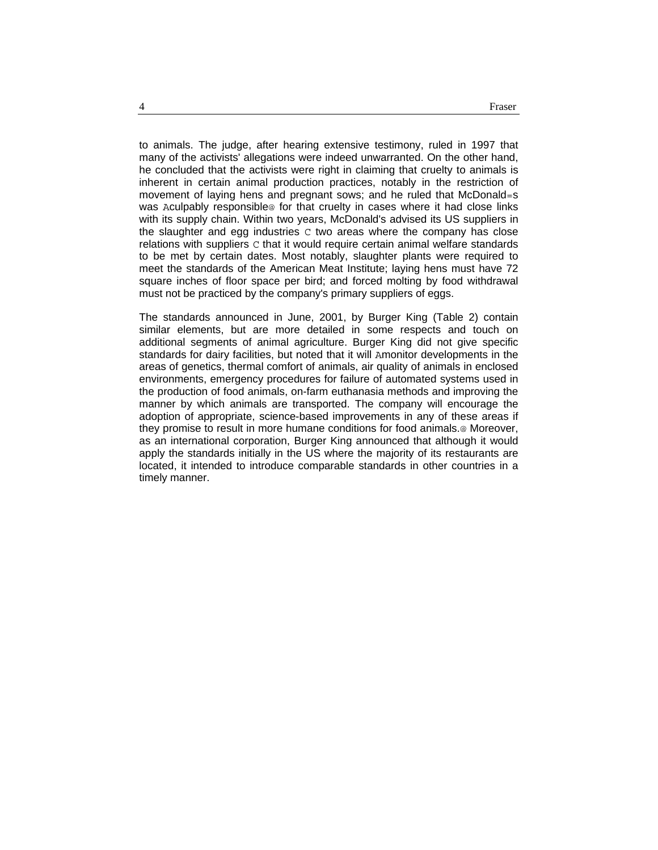to animals. The judge, after hearing extensive testimony, ruled in 1997 that many of the activists' allegations were indeed unwarranted. On the other hand, he concluded that the activists were right in claiming that cruelty to animals is inherent in certain animal production practices, notably in the restriction of movement of laying hens and pregnant sows; and he ruled that McDonald=s was Aculpably responsible@ for that cruelty in cases where it had close links with its supply chain. Within two years, McDonald's advised its US suppliers in the slaughter and egg industries  $\sigma$  two areas where the company has close relations with suppliers C that it would require certain animal welfare standards to be met by certain dates. Most notably, slaughter plants were required to meet the standards of the American Meat Institute; laying hens must have 72 square inches of floor space per bird; and forced molting by food withdrawal must not be practiced by the company's primary suppliers of eggs.

The standards announced in June, 2001, by Burger King (Table 2) contain similar elements, but are more detailed in some respects and touch on additional segments of animal agriculture. Burger King did not give specific standards for dairy facilities, but noted that it will Amonitor developments in the areas of genetics, thermal comfort of animals, air quality of animals in enclosed environments, emergency procedures for failure of automated systems used in the production of food animals, on-farm euthanasia methods and improving the manner by which animals are transported. The company will encourage the adoption of appropriate, science-based improvements in any of these areas if they promise to result in more humane conditions for food animals.@ Moreover, as an international corporation, Burger King announced that although it would apply the standards initially in the US where the majority of its restaurants are located, it intended to introduce comparable standards in other countries in a timely manner.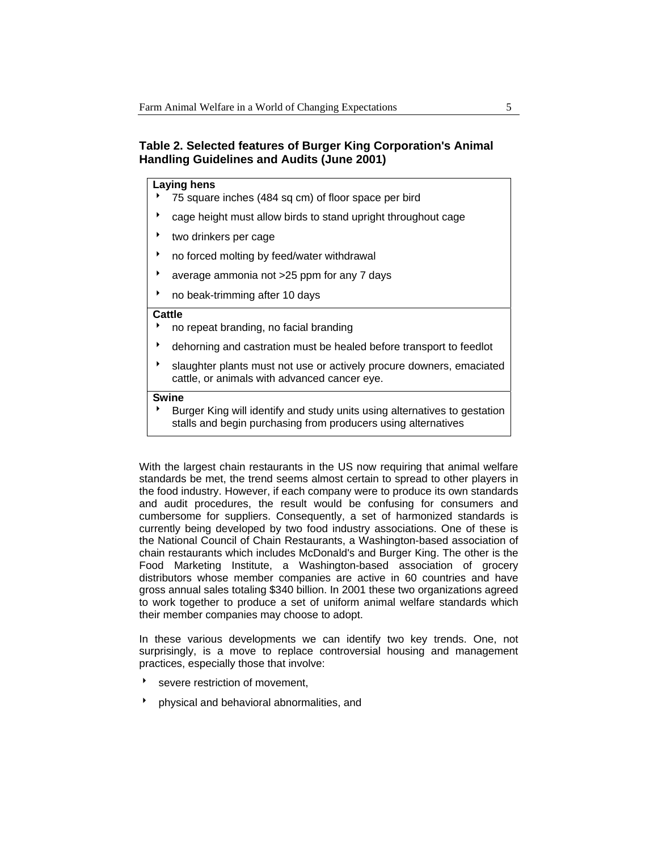### **Table 2. Selected features of Burger King Corporation's Animal Handling Guidelines and Audits (June 2001)**

### **Laying hens**

- 75 square inches (484 sq cm) of floor space per bird
- cage height must allow birds to stand upright throughout cage
- two drinkers per cage
- no forced molting by feed/water withdrawal
- average ammonia not >25 ppm for any 7 days
- no beak-trimming after 10 days

#### **Cattle**

- 8 no repeat branding, no facial branding
- <sup>t</sup> dehorning and castration must be healed before transport to feedlot
- slaughter plants must not use or actively procure downers, emaciated cattle, or animals with advanced cancer eye.

#### **Swine**

Burger King will identify and study units using alternatives to gestation stalls and begin purchasing from producers using alternatives

With the largest chain restaurants in the US now requiring that animal welfare standards be met, the trend seems almost certain to spread to other players in the food industry. However, if each company were to produce its own standards and audit procedures, the result would be confusing for consumers and cumbersome for suppliers. Consequently, a set of harmonized standards is currently being developed by two food industry associations. One of these is the National Council of Chain Restaurants, a Washington-based association of chain restaurants which includes McDonald's and Burger King. The other is the Food Marketing Institute, a Washington-based association of grocery distributors whose member companies are active in 60 countries and have gross annual sales totaling \$340 billion. In 2001 these two organizations agreed to work together to produce a set of uniform animal welfare standards which their member companies may choose to adopt.

In these various developments we can identify two key trends. One, not surprisingly, is a move to replace controversial housing and management practices, especially those that involve:

- severe restriction of movement,
- 8 physical and behavioral abnormalities, and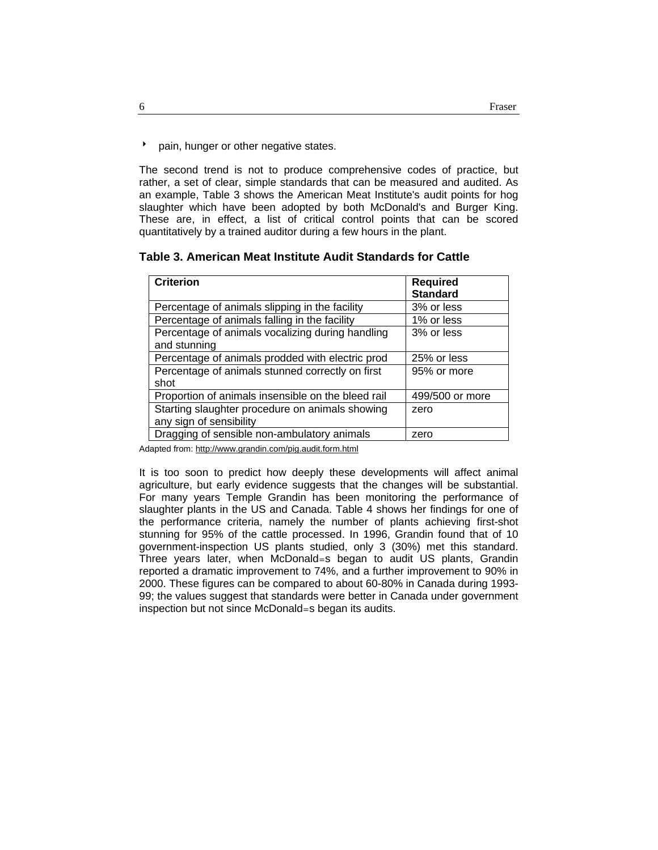**b** pain, hunger or other negative states.

The second trend is not to produce comprehensive codes of practice, but rather, a set of clear, simple standards that can be measured and audited. As an example, Table 3 shows the American Meat Institute's audit points for hog slaughter which have been adopted by both McDonald's and Burger King. These are, in effect, a list of critical control points that can be scored quantitatively by a trained auditor during a few hours in the plant.

#### **Table 3. American Meat Institute Audit Standards for Cattle**

| <b>Criterion</b>                                   | <b>Required</b><br><b>Standard</b> |
|----------------------------------------------------|------------------------------------|
| Percentage of animals slipping in the facility     | 3% or less                         |
| Percentage of animals falling in the facility      | 1% or less                         |
| Percentage of animals vocalizing during handling   | 3% or less                         |
| and stunning                                       |                                    |
| Percentage of animals prodded with electric prod   | 25% or less                        |
| Percentage of animals stunned correctly on first   | 95% or more                        |
| shot                                               |                                    |
| Proportion of animals insensible on the bleed rail | 499/500 or more                    |
| Starting slaughter procedure on animals showing    | zero                               |
| any sign of sensibility                            |                                    |
| Dragging of sensible non-ambulatory animals        | zero                               |

Adapted from: http://www.grandin.com/pig.audit.form.html

It is too soon to predict how deeply these developments will affect animal agriculture, but early evidence suggests that the changes will be substantial. For many years Temple Grandin has been monitoring the performance of slaughter plants in the US and Canada. Table 4 shows her findings for one of the performance criteria, namely the number of plants achieving first-shot stunning for 95% of the cattle processed. In 1996, Grandin found that of 10 government-inspection US plants studied, only 3 (30%) met this standard. Three years later, when McDonald=s began to audit US plants, Grandin reported a dramatic improvement to 74%, and a further improvement to 90% in 2000. These figures can be compared to about 60-80% in Canada during 1993- 99; the values suggest that standards were better in Canada under government inspection but not since McDonald=s began its audits.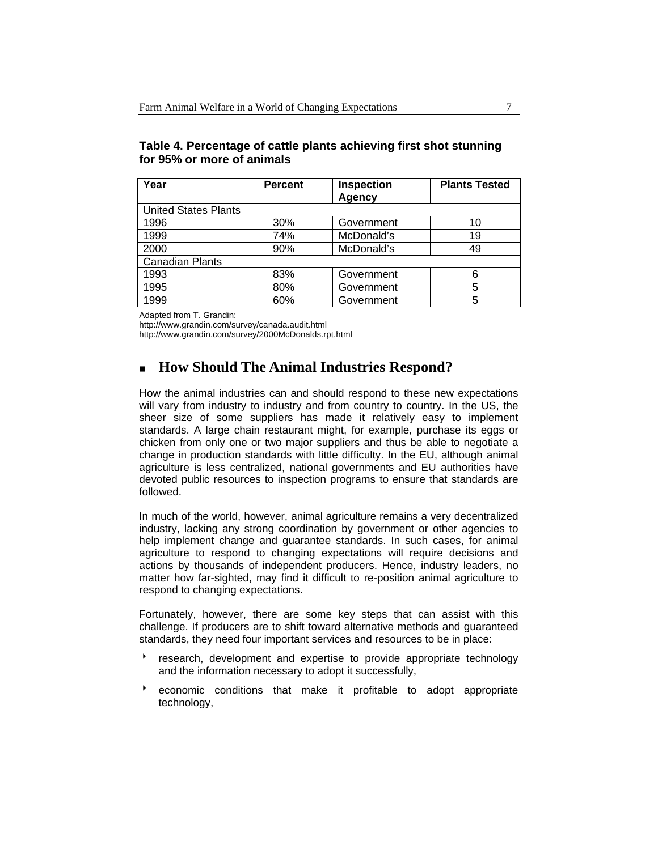| Year                        | <b>Percent</b> | <b>Inspection</b><br>Agency | <b>Plants Tested</b> |  |  |
|-----------------------------|----------------|-----------------------------|----------------------|--|--|
| <b>United States Plants</b> |                |                             |                      |  |  |
| 1996                        | 30%            | Government                  | 10                   |  |  |
| 1999                        | 74%            | McDonald's                  | 19                   |  |  |
| 2000                        | 90%            | McDonald's                  | 49                   |  |  |
| <b>Canadian Plants</b>      |                |                             |                      |  |  |
| 1993                        | 83%            | Government                  | 6                    |  |  |
| 1995                        | 80%            | Government                  | 5                    |  |  |
| 1999                        | 60%            | Government                  | 5                    |  |  |

### **Table 4. Percentage of cattle plants achieving first shot stunning for 95% or more of animals**

Adapted from T. Grandin:

http://www.grandin.com/survey/canada.audit.html

http://www.grandin.com/survey/2000McDonalds.rpt.html

# **How Should The Animal Industries Respond?**

How the animal industries can and should respond to these new expectations will vary from industry to industry and from country to country. In the US, the sheer size of some suppliers has made it relatively easy to implement standards. A large chain restaurant might, for example, purchase its eggs or chicken from only one or two major suppliers and thus be able to negotiate a change in production standards with little difficulty. In the EU, although animal agriculture is less centralized, national governments and EU authorities have devoted public resources to inspection programs to ensure that standards are followed.

In much of the world, however, animal agriculture remains a very decentralized industry, lacking any strong coordination by government or other agencies to help implement change and guarantee standards. In such cases, for animal agriculture to respond to changing expectations will require decisions and actions by thousands of independent producers. Hence, industry leaders, no matter how far-sighted, may find it difficult to re-position animal agriculture to respond to changing expectations.

Fortunately, however, there are some key steps that can assist with this challenge. If producers are to shift toward alternative methods and guaranteed standards, they need four important services and resources to be in place:

- research, development and expertise to provide appropriate technology and the information necessary to adopt it successfully,
- \* economic conditions that make it profitable to adopt appropriate technology,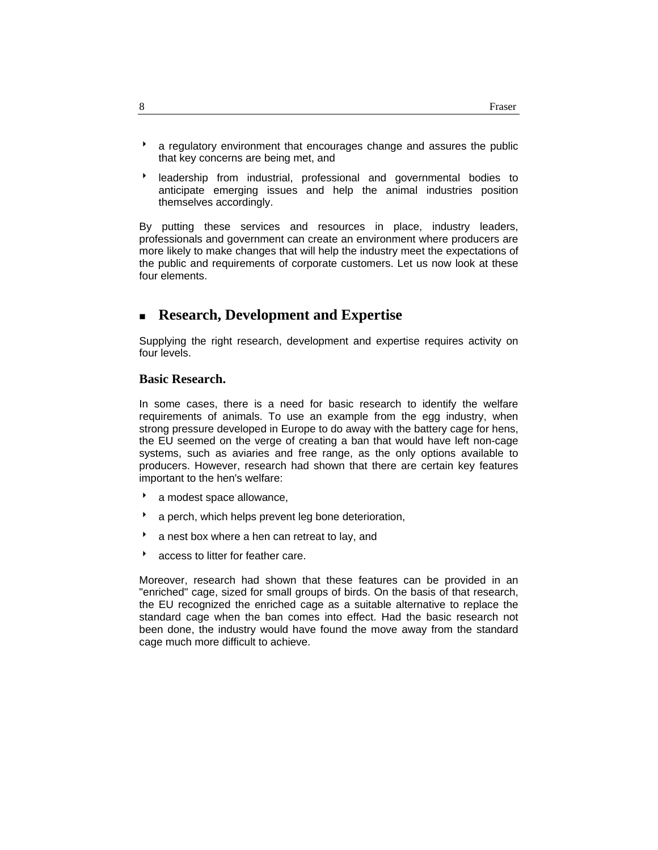- a regulatory environment that encourages change and assures the public that key concerns are being met, and
- **BE** leadership from industrial, professional and governmental bodies to anticipate emerging issues and help the animal industries position themselves accordingly.

By putting these services and resources in place, industry leaders, professionals and government can create an environment where producers are more likely to make changes that will help the industry meet the expectations of the public and requirements of corporate customers. Let us now look at these four elements.

# **Research, Development and Expertise**

Supplying the right research, development and expertise requires activity on four levels.

### **Basic Research.**

In some cases, there is a need for basic research to identify the welfare requirements of animals. To use an example from the egg industry, when strong pressure developed in Europe to do away with the battery cage for hens, the EU seemed on the verge of creating a ban that would have left non-cage systems, such as aviaries and free range, as the only options available to producers. However, research had shown that there are certain key features important to the hen's welfare:

- \* a modest space allowance,
- a perch, which helps prevent leg bone deterioration,
- a nest box where a hen can retreat to lay, and
- **b** access to litter for feather care.

Moreover, research had shown that these features can be provided in an "enriched" cage, sized for small groups of birds. On the basis of that research, the EU recognized the enriched cage as a suitable alternative to replace the standard cage when the ban comes into effect. Had the basic research not been done, the industry would have found the move away from the standard cage much more difficult to achieve.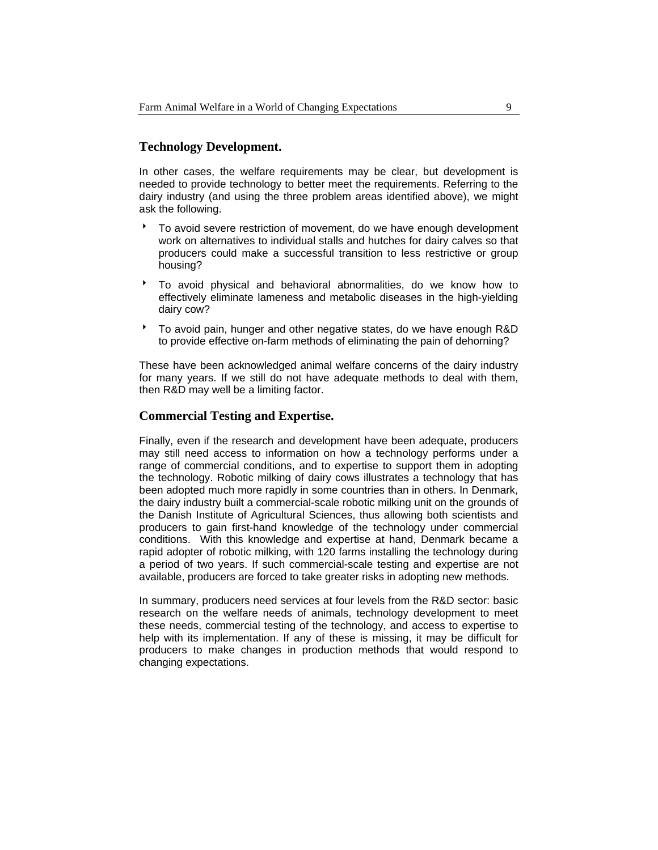### **Technology Development.**

In other cases, the welfare requirements may be clear, but development is needed to provide technology to better meet the requirements. Referring to the dairy industry (and using the three problem areas identified above), we might ask the following.

- 8 To avoid severe restriction of movement, do we have enough development work on alternatives to individual stalls and hutches for dairy calves so that producers could make a successful transition to less restrictive or group housing?
- 8 To avoid physical and behavioral abnormalities, do we know how to effectively eliminate lameness and metabolic diseases in the high-yielding dairy cow?
- To avoid pain, hunger and other negative states, do we have enough R&D to provide effective on-farm methods of eliminating the pain of dehorning?

These have been acknowledged animal welfare concerns of the dairy industry for many years. If we still do not have adequate methods to deal with them, then R&D may well be a limiting factor.

#### **Commercial Testing and Expertise.**

Finally, even if the research and development have been adequate, producers may still need access to information on how a technology performs under a range of commercial conditions, and to expertise to support them in adopting the technology. Robotic milking of dairy cows illustrates a technology that has been adopted much more rapidly in some countries than in others. In Denmark, the dairy industry built a commercial-scale robotic milking unit on the grounds of the Danish Institute of Agricultural Sciences, thus allowing both scientists and producers to gain first-hand knowledge of the technology under commercial conditions. With this knowledge and expertise at hand, Denmark became a rapid adopter of robotic milking, with 120 farms installing the technology during a period of two years. If such commercial-scale testing and expertise are not available, producers are forced to take greater risks in adopting new methods.

In summary, producers need services at four levels from the R&D sector: basic research on the welfare needs of animals, technology development to meet these needs, commercial testing of the technology, and access to expertise to help with its implementation. If any of these is missing, it may be difficult for producers to make changes in production methods that would respond to changing expectations.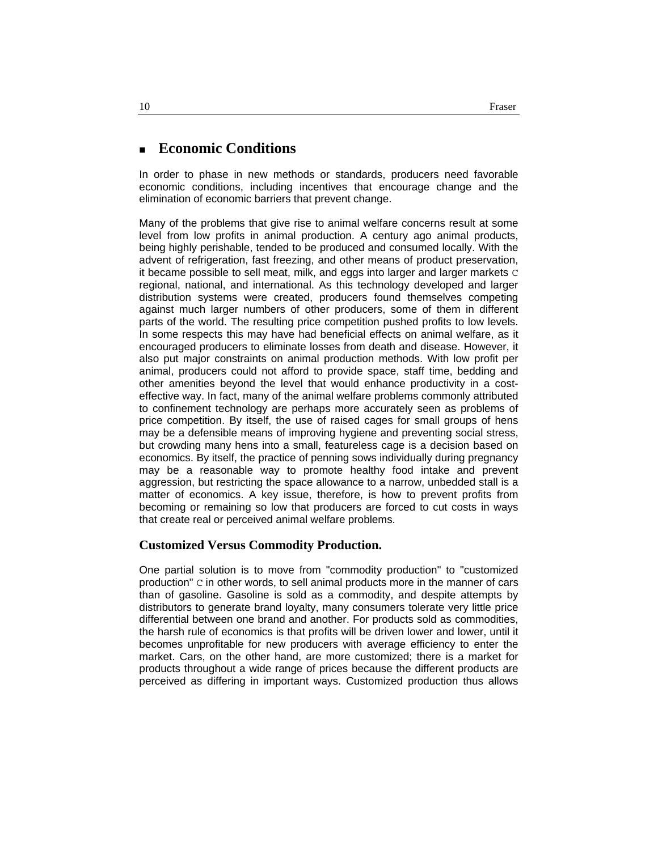# **Economic Conditions**

In order to phase in new methods or standards, producers need favorable economic conditions, including incentives that encourage change and the elimination of economic barriers that prevent change.

Many of the problems that give rise to animal welfare concerns result at some level from low profits in animal production. A century ago animal products, being highly perishable, tended to be produced and consumed locally. With the advent of refrigeration, fast freezing, and other means of product preservation, it became possible to sell meat, milk, and eggs into larger and larger markets C regional, national, and international. As this technology developed and larger distribution systems were created, producers found themselves competing against much larger numbers of other producers, some of them in different parts of the world. The resulting price competition pushed profits to low levels. In some respects this may have had beneficial effects on animal welfare, as it encouraged producers to eliminate losses from death and disease. However, it also put major constraints on animal production methods. With low profit per animal, producers could not afford to provide space, staff time, bedding and other amenities beyond the level that would enhance productivity in a costeffective way. In fact, many of the animal welfare problems commonly attributed to confinement technology are perhaps more accurately seen as problems of price competition. By itself, the use of raised cages for small groups of hens may be a defensible means of improving hygiene and preventing social stress, but crowding many hens into a small, featureless cage is a decision based on economics. By itself, the practice of penning sows individually during pregnancy may be a reasonable way to promote healthy food intake and prevent aggression, but restricting the space allowance to a narrow, unbedded stall is a matter of economics. A key issue, therefore, is how to prevent profits from becoming or remaining so low that producers are forced to cut costs in ways that create real or perceived animal welfare problems.

#### **Customized Versus Commodity Production.**

One partial solution is to move from "commodity production" to "customized production" C in other words, to sell animal products more in the manner of cars than of gasoline. Gasoline is sold as a commodity, and despite attempts by distributors to generate brand loyalty, many consumers tolerate very little price differential between one brand and another. For products sold as commodities, the harsh rule of economics is that profits will be driven lower and lower, until it becomes unprofitable for new producers with average efficiency to enter the market. Cars, on the other hand, are more customized; there is a market for products throughout a wide range of prices because the different products are perceived as differing in important ways. Customized production thus allows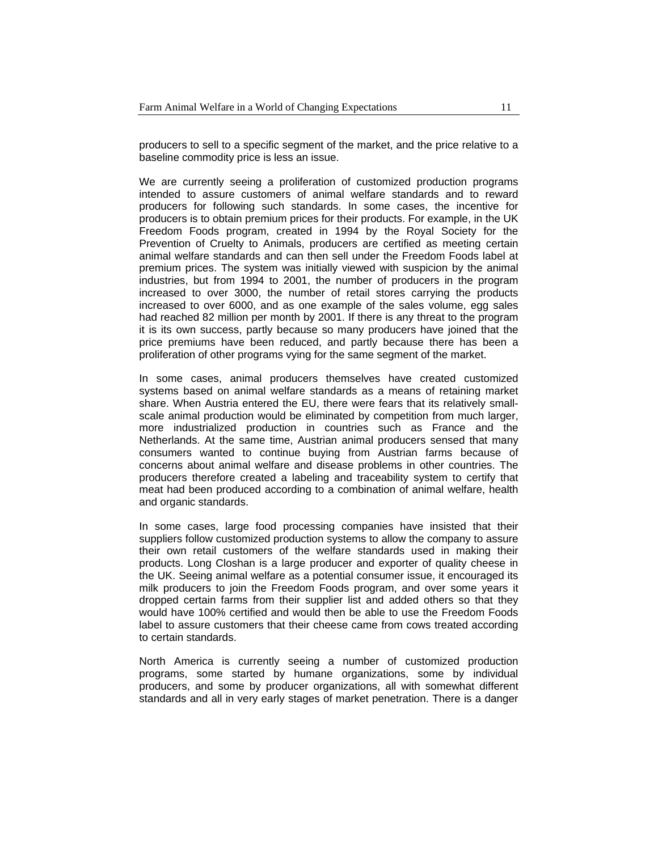producers to sell to a specific segment of the market, and the price relative to a baseline commodity price is less an issue.

We are currently seeing a proliferation of customized production programs intended to assure customers of animal welfare standards and to reward producers for following such standards. In some cases, the incentive for producers is to obtain premium prices for their products. For example, in the UK Freedom Foods program, created in 1994 by the Royal Society for the Prevention of Cruelty to Animals, producers are certified as meeting certain animal welfare standards and can then sell under the Freedom Foods label at premium prices. The system was initially viewed with suspicion by the animal industries, but from 1994 to 2001, the number of producers in the program increased to over 3000, the number of retail stores carrying the products increased to over 6000, and as one example of the sales volume, egg sales had reached 82 million per month by 2001. If there is any threat to the program it is its own success, partly because so many producers have joined that the price premiums have been reduced, and partly because there has been a proliferation of other programs vying for the same segment of the market.

In some cases, animal producers themselves have created customized systems based on animal welfare standards as a means of retaining market share. When Austria entered the EU, there were fears that its relatively smallscale animal production would be eliminated by competition from much larger, more industrialized production in countries such as France and the Netherlands. At the same time, Austrian animal producers sensed that many consumers wanted to continue buying from Austrian farms because of concerns about animal welfare and disease problems in other countries. The producers therefore created a labeling and traceability system to certify that meat had been produced according to a combination of animal welfare, health and organic standards.

In some cases, large food processing companies have insisted that their suppliers follow customized production systems to allow the company to assure their own retail customers of the welfare standards used in making their products. Long Closhan is a large producer and exporter of quality cheese in the UK. Seeing animal welfare as a potential consumer issue, it encouraged its milk producers to join the Freedom Foods program, and over some years it dropped certain farms from their supplier list and added others so that they would have 100% certified and would then be able to use the Freedom Foods label to assure customers that their cheese came from cows treated according to certain standards.

North America is currently seeing a number of customized production programs, some started by humane organizations, some by individual producers, and some by producer organizations, all with somewhat different standards and all in very early stages of market penetration. There is a danger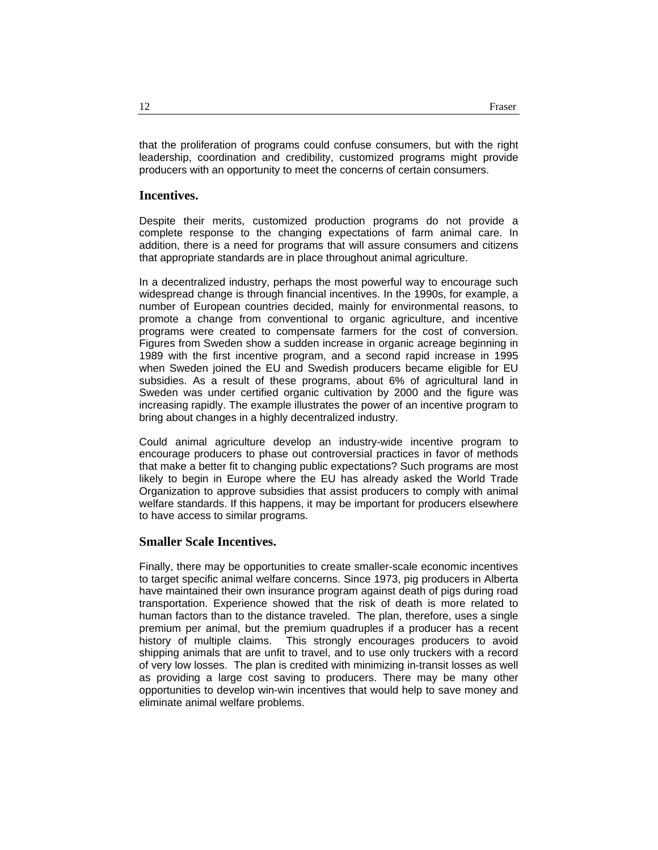that the proliferation of programs could confuse consumers, but with the right leadership, coordination and credibility, customized programs might provide producers with an opportunity to meet the concerns of certain consumers.

#### **Incentives.**

Despite their merits, customized production programs do not provide a complete response to the changing expectations of farm animal care. In addition, there is a need for programs that will assure consumers and citizens that appropriate standards are in place throughout animal agriculture.

In a decentralized industry, perhaps the most powerful way to encourage such widespread change is through financial incentives. In the 1990s, for example, a number of European countries decided, mainly for environmental reasons, to promote a change from conventional to organic agriculture, and incentive programs were created to compensate farmers for the cost of conversion. Figures from Sweden show a sudden increase in organic acreage beginning in 1989 with the first incentive program, and a second rapid increase in 1995 when Sweden joined the EU and Swedish producers became eligible for EU subsidies. As a result of these programs, about 6% of agricultural land in Sweden was under certified organic cultivation by 2000 and the figure was increasing rapidly. The example illustrates the power of an incentive program to bring about changes in a highly decentralized industry.

Could animal agriculture develop an industry-wide incentive program to encourage producers to phase out controversial practices in favor of methods that make a better fit to changing public expectations? Such programs are most likely to begin in Europe where the EU has already asked the World Trade Organization to approve subsidies that assist producers to comply with animal welfare standards. If this happens, it may be important for producers elsewhere to have access to similar programs.

#### **Smaller Scale Incentives.**

Finally, there may be opportunities to create smaller-scale economic incentives to target specific animal welfare concerns. Since 1973, pig producers in Alberta have maintained their own insurance program against death of pigs during road transportation. Experience showed that the risk of death is more related to human factors than to the distance traveled. The plan, therefore, uses a single premium per animal, but the premium quadruples if a producer has a recent history of multiple claims. This strongly encourages producers to avoid shipping animals that are unfit to travel, and to use only truckers with a record of very low losses. The plan is credited with minimizing in-transit losses as well as providing a large cost saving to producers. There may be many other opportunities to develop win-win incentives that would help to save money and eliminate animal welfare problems.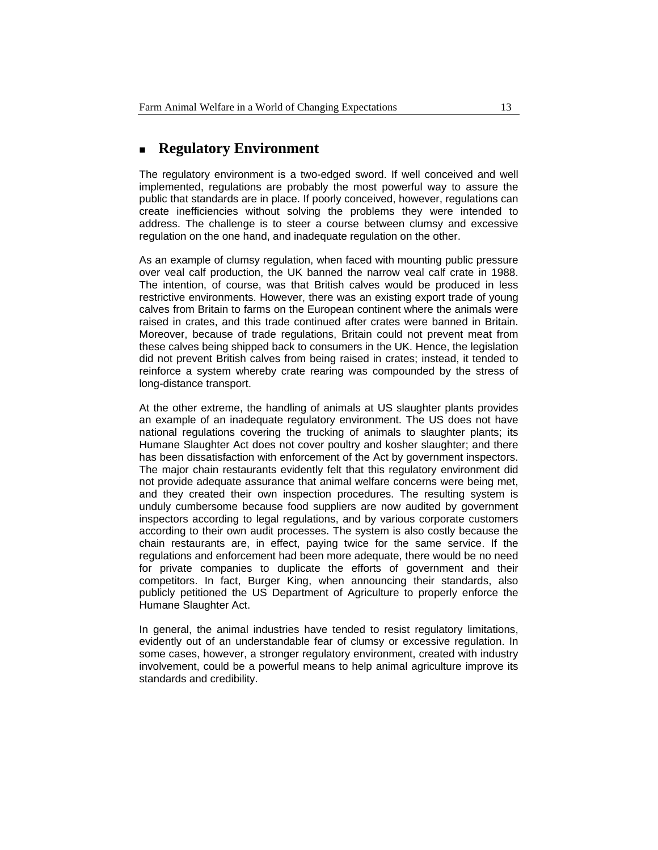### **Regulatory Environment**

The regulatory environment is a two-edged sword. If well conceived and well implemented, regulations are probably the most powerful way to assure the public that standards are in place. If poorly conceived, however, regulations can create inefficiencies without solving the problems they were intended to address. The challenge is to steer a course between clumsy and excessive regulation on the one hand, and inadequate regulation on the other.

As an example of clumsy regulation, when faced with mounting public pressure over veal calf production, the UK banned the narrow veal calf crate in 1988. The intention, of course, was that British calves would be produced in less restrictive environments. However, there was an existing export trade of young calves from Britain to farms on the European continent where the animals were raised in crates, and this trade continued after crates were banned in Britain. Moreover, because of trade regulations, Britain could not prevent meat from these calves being shipped back to consumers in the UK. Hence, the legislation did not prevent British calves from being raised in crates; instead, it tended to reinforce a system whereby crate rearing was compounded by the stress of long-distance transport.

At the other extreme, the handling of animals at US slaughter plants provides an example of an inadequate regulatory environment. The US does not have national regulations covering the trucking of animals to slaughter plants; its Humane Slaughter Act does not cover poultry and kosher slaughter; and there has been dissatisfaction with enforcement of the Act by government inspectors. The major chain restaurants evidently felt that this regulatory environment did not provide adequate assurance that animal welfare concerns were being met, and they created their own inspection procedures. The resulting system is unduly cumbersome because food suppliers are now audited by government inspectors according to legal regulations, and by various corporate customers according to their own audit processes. The system is also costly because the chain restaurants are, in effect, paying twice for the same service. If the regulations and enforcement had been more adequate, there would be no need for private companies to duplicate the efforts of government and their competitors. In fact, Burger King, when announcing their standards, also publicly petitioned the US Department of Agriculture to properly enforce the Humane Slaughter Act.

In general, the animal industries have tended to resist regulatory limitations, evidently out of an understandable fear of clumsy or excessive regulation. In some cases, however, a stronger regulatory environment, created with industry involvement, could be a powerful means to help animal agriculture improve its standards and credibility.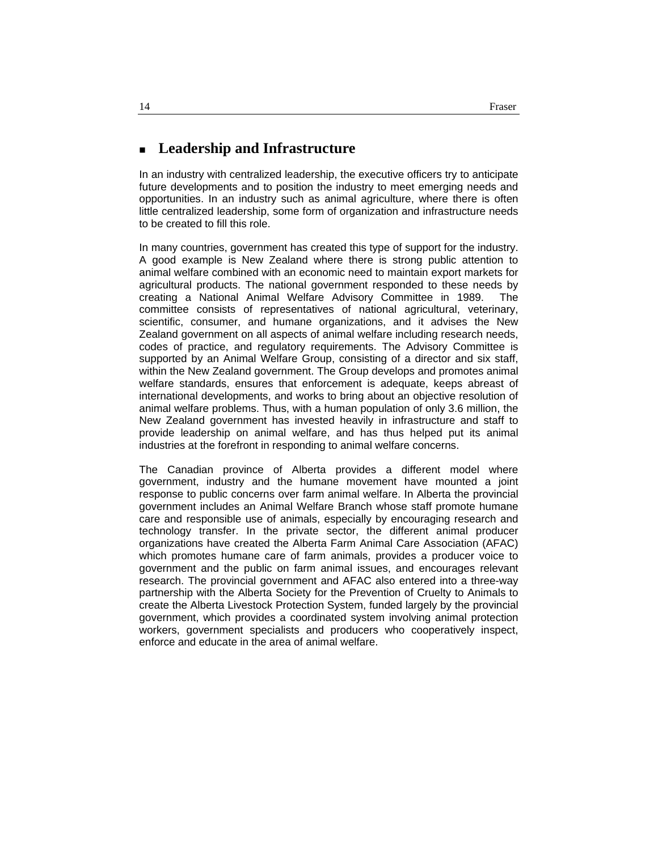### **Leadership and Infrastructure**

In an industry with centralized leadership, the executive officers try to anticipate future developments and to position the industry to meet emerging needs and opportunities. In an industry such as animal agriculture, where there is often little centralized leadership, some form of organization and infrastructure needs to be created to fill this role.

In many countries, government has created this type of support for the industry. A good example is New Zealand where there is strong public attention to animal welfare combined with an economic need to maintain export markets for agricultural products. The national government responded to these needs by creating a National Animal Welfare Advisory Committee in 1989. The committee consists of representatives of national agricultural, veterinary, scientific, consumer, and humane organizations, and it advises the New Zealand government on all aspects of animal welfare including research needs, codes of practice, and regulatory requirements. The Advisory Committee is supported by an Animal Welfare Group, consisting of a director and six staff, within the New Zealand government. The Group develops and promotes animal welfare standards, ensures that enforcement is adequate, keeps abreast of international developments, and works to bring about an objective resolution of animal welfare problems. Thus, with a human population of only 3.6 million, the New Zealand government has invested heavily in infrastructure and staff to provide leadership on animal welfare, and has thus helped put its animal industries at the forefront in responding to animal welfare concerns.

The Canadian province of Alberta provides a different model where government, industry and the humane movement have mounted a joint response to public concerns over farm animal welfare. In Alberta the provincial government includes an Animal Welfare Branch whose staff promote humane care and responsible use of animals, especially by encouraging research and technology transfer. In the private sector, the different animal producer organizations have created the Alberta Farm Animal Care Association (AFAC) which promotes humane care of farm animals, provides a producer voice to government and the public on farm animal issues, and encourages relevant research. The provincial government and AFAC also entered into a three-way partnership with the Alberta Society for the Prevention of Cruelty to Animals to create the Alberta Livestock Protection System, funded largely by the provincial government, which provides a coordinated system involving animal protection workers, government specialists and producers who cooperatively inspect, enforce and educate in the area of animal welfare.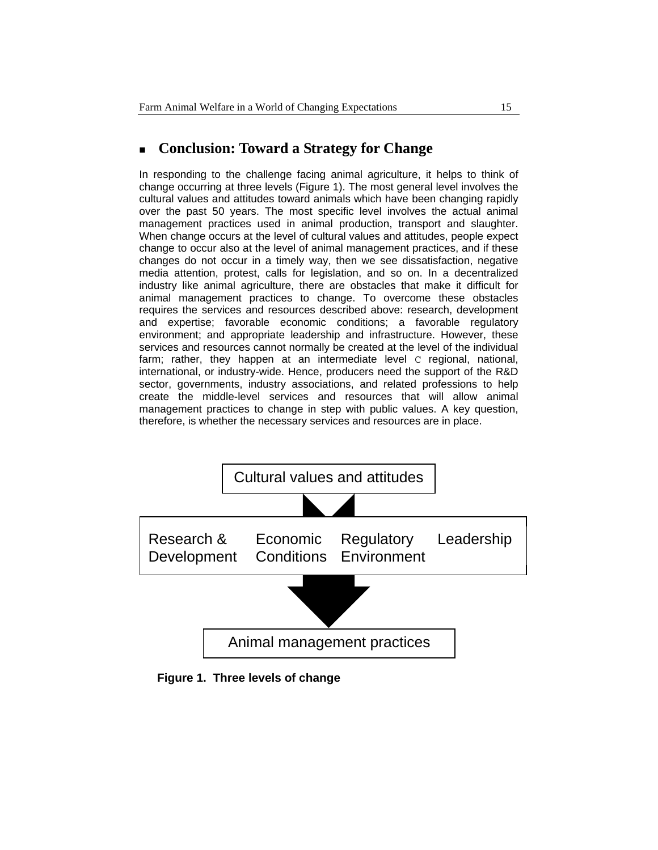## **Conclusion: Toward a Strategy for Change**

In responding to the challenge facing animal agriculture, it helps to think of change occurring at three levels (Figure 1). The most general level involves the cultural values and attitudes toward animals which have been changing rapidly over the past 50 years. The most specific level involves the actual animal management practices used in animal production, transport and slaughter. When change occurs at the level of cultural values and attitudes, people expect change to occur also at the level of animal management practices, and if these changes do not occur in a timely way, then we see dissatisfaction, negative media attention, protest, calls for legislation, and so on. In a decentralized industry like animal agriculture, there are obstacles that make it difficult for animal management practices to change. To overcome these obstacles requires the services and resources described above: research, development and expertise; favorable economic conditions; a favorable regulatory environment; and appropriate leadership and infrastructure. However, these services and resources cannot normally be created at the level of the individual farm; rather, they happen at an intermediate level C regional, national, international, or industry-wide. Hence, producers need the support of the R&D sector, governments, industry associations, and related professions to help create the middle-level services and resources that will allow animal management practices to change in step with public values. A key question, therefore, is whether the necessary services and resources are in place.



**Figure 1. Three levels of change**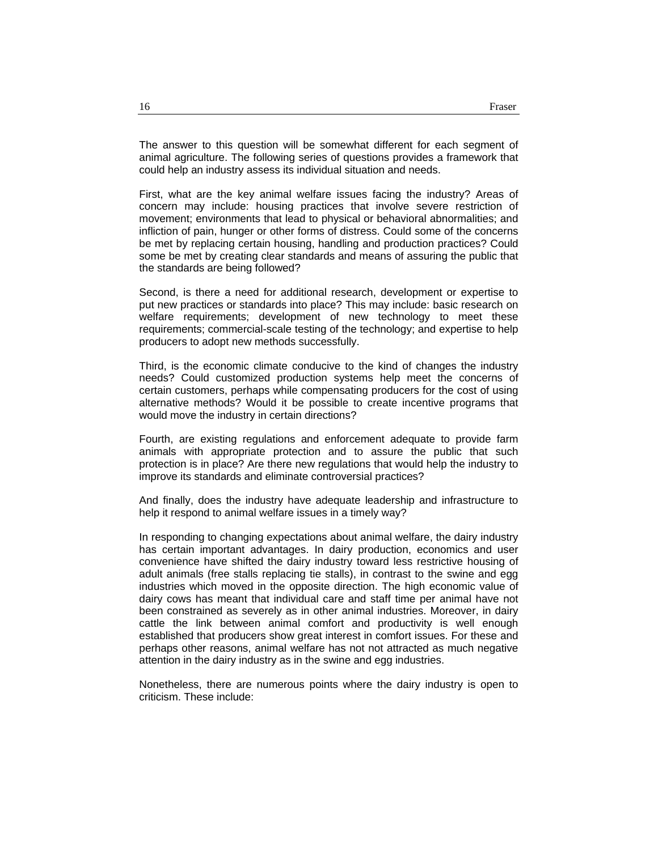The answer to this question will be somewhat different for each segment of animal agriculture. The following series of questions provides a framework that could help an industry assess its individual situation and needs.

First, what are the key animal welfare issues facing the industry? Areas of concern may include: housing practices that involve severe restriction of movement; environments that lead to physical or behavioral abnormalities; and infliction of pain, hunger or other forms of distress. Could some of the concerns be met by replacing certain housing, handling and production practices? Could some be met by creating clear standards and means of assuring the public that the standards are being followed?

Second, is there a need for additional research, development or expertise to put new practices or standards into place? This may include: basic research on welfare requirements; development of new technology to meet these requirements; commercial-scale testing of the technology; and expertise to help producers to adopt new methods successfully.

Third, is the economic climate conducive to the kind of changes the industry needs? Could customized production systems help meet the concerns of certain customers, perhaps while compensating producers for the cost of using alternative methods? Would it be possible to create incentive programs that would move the industry in certain directions?

Fourth, are existing regulations and enforcement adequate to provide farm animals with appropriate protection and to assure the public that such protection is in place? Are there new regulations that would help the industry to improve its standards and eliminate controversial practices?

And finally, does the industry have adequate leadership and infrastructure to help it respond to animal welfare issues in a timely way?

In responding to changing expectations about animal welfare, the dairy industry has certain important advantages. In dairy production, economics and user convenience have shifted the dairy industry toward less restrictive housing of adult animals (free stalls replacing tie stalls), in contrast to the swine and egg industries which moved in the opposite direction. The high economic value of dairy cows has meant that individual care and staff time per animal have not been constrained as severely as in other animal industries. Moreover, in dairy cattle the link between animal comfort and productivity is well enough established that producers show great interest in comfort issues. For these and perhaps other reasons, animal welfare has not not attracted as much negative attention in the dairy industry as in the swine and egg industries.

Nonetheless, there are numerous points where the dairy industry is open to criticism. These include: